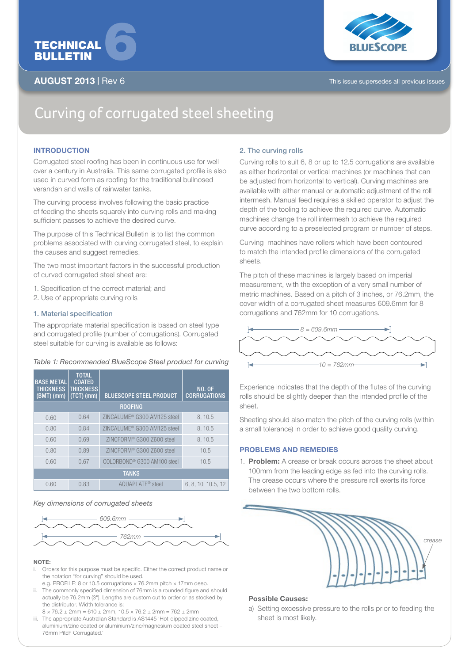

# AUGUST 2013 | Rev 6 This issue supersedes all previous issues



# Curving of corrugated steel sheeting

# **INTRODUCTION**

Corrugated steel roofing has been in continuous use for well over a century in Australia. This same corrugated profile is also used in curved form as roofing for the traditional bullnosed verandah and walls of rainwater tanks.

The curving process involves following the basic practice of feeding the sheets squarely into curving rolls and making sufficient passes to achieve the desired curve.

The purpose of this Technical Bulletin is to list the common problems associated with curving corrugated steel, to explain the causes and suggest remedies.

The two most important factors in the successful production of curved corrugated steel sheet are:

- 1. Specification of the correct material; and
- 2. Use of appropriate curving rolls

# 1. Material specification

The appropriate material specification is based on steel type and corrugated profile (number of corrugations). Corrugated steel suitable for curving is available as follows:

#### *Table 1: Recommended BlueScope Steel product for curving*

| <b>BASE METAL</b><br><b>THICKNESS</b><br>$(BMT)$ (mm) | <b>TOTAL</b><br><b>COATED</b><br><b>THICKNESS</b><br>(TCT) (mm) | <b>BLUESCOPE STEEL PRODUCT</b>          | <b>NO. OF</b><br><b>CORRUGATIONS</b> |
|-------------------------------------------------------|-----------------------------------------------------------------|-----------------------------------------|--------------------------------------|
| <b>ROOFING</b>                                        |                                                                 |                                         |                                      |
| 0.60                                                  | 0.64                                                            | ZINCALUME <sup>®</sup> G300 AM125 steel | 8, 10.5                              |
| 0.80                                                  | 0.84                                                            | ZINCALUME <sup>®</sup> G300 AM125 steel | 8, 10.5                              |
| 0.60                                                  | 0.69                                                            | ZINCFORM <sup>®</sup> G300 Z600 steel   | 8.10.5                               |
| 0.80                                                  | 0.89                                                            | ZINCFORM <sup>®</sup> G300 Z600 steel   | 10.5                                 |
| 0.60                                                  | 0.67                                                            | COLORBOND <sup>®</sup> G300 AM100 steel | 10.5                                 |
| <b>TANKS</b>                                          |                                                                 |                                         |                                      |
| 0.60                                                  | 0.83                                                            | AQUAPLATE <sup>®</sup> steel            | 6, 8, 10, 10.5, 12                   |

#### *Key dimensions of corrugated sheets*



#### NOTE:

- Orders for this purpose must be specific. Either the correct product name or the notation "for curving" should be used.
- e.g. PROFILE: 8 or 10.5 corrugations × 76.2mm pitch × 17mm deep. ii. The commonly specified dimension of 76mm is a rounded figure and should
- actually be 76.2mm (3"). Lengths are custom cut to order or as stocked by the distributor. Width tolerance is:  $8 \times 76.2 \pm 2$ mm = 610 ± 2mm, 10.5  $\times$  76.2 ± 2mm = 762 ± 2mm
- iii. The appropriate Australian Standard is AS1445 'Hot-dipped zinc coated, aluminium/zinc coated or aluminium/zinc/magnesium coated steel sheet – 76mm Pitch Corrugated.'

# 2. The curving rolls

Curving rolls to suit 6, 8 or up to 12.5 corrugations are available as either horizontal or vertical machines (or machines that can be adjusted from horizontal to vertical). Curving machines are available with either manual or automatic adjustment of the roll intermesh. Manual feed requires a skilled operator to adjust the depth of the tooling to achieve the required curve. Automatic machines change the roll intermesh to achieve the required curve according to a preselected program or number of steps.

Curving machines have rollers which have been contoured to match the intended profile dimensions of the corrugated sheets.

The pitch of these machines is largely based on imperial measurement, with the exception of a very small number of metric machines. Based on a pitch of 3 inches, or 76.2mm, the cover width of a corrugated sheet measures 609.6mm for 8 corrugations and 762mm for 10 corrugations.



Experience indicates that the depth of the flutes of the curving rolls should be slightly deeper than the intended profile of the sheet.

Sheeting should also match the pitch of the curving rolls (within a small tolerance) in order to achieve good quality curving.

# PROBLEMS AND REMEDIES

1. Problem: A crease or break occurs across the sheet about 100mm from the leading edge as fed into the curving rolls. The crease occurs where the pressure roll exerts its force between the two bottom rolls.



## Possible Causes:

a) Setting excessive pressure to the rolls prior to feeding the sheet is most likely.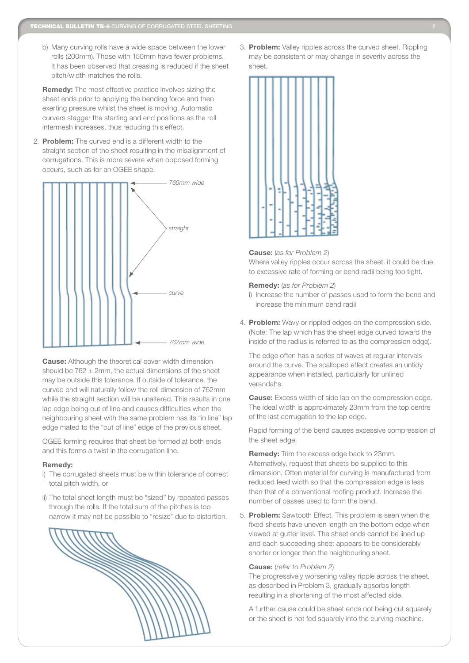b) Many curving rolls have a wide space between the lower rolls (200mm). Those with 150mm have fewer problems. It has been observed that creasing is reduced if the sheet pitch/width matches the rolls.

Remedy: The most effective practice involves sizing the sheet ends prior to applying the bending force and then exerting pressure whilst the sheet is moving. Automatic curvers stagger the starting and end positions as the roll intermesh increases, thus reducing this effect.

2. Problem: The curved end is a different width to the straight section of the sheet resulting in the misalignment of corrugations. This is more severe when opposed forming occurs, such as for an OGEE shape.



**Cause:** Although the theoretical cover width dimension should be  $762 \pm 2$ mm, the actual dimensions of the sheet may be outside this tolerance. If outside of tolerance, the curved end will naturally follow the roll dimension of 762mm while the straight section will be unaltered. This results in one lap edge being out of line and causes difficulties when the neighbouring sheet with the same problem has its "in line" lap edge mated to the "out of line" edge of the previous sheet.

OGEE forming requires that sheet be formed at both ends and this forms a twist in the corrugation line.

#### Remedy:

- i) The corrugated sheets must be within tolerance of correct total pitch width, or
- ii) The total sheet length must be "sized" by repeated passes through the rolls. If the total sum of the pitches is too narrow it may not be possible to "resize" due to distortion.



3. Problem: Valley ripples across the curved sheet. Rippling may be consistent or may change in severity across the sheet.



#### Cause: (*as for Problem 2*)

Where valley ripples occur across the sheet, it could be due to excessive rate of forming or bend radii being too tight.

#### Remedy: (*as for Problem 2*)

- i) Increase the number of passes used to form the bend and increase the minimum bend radii
- 4. Problem: Wavy or rippled edges on the compression side. (Note: The lap which has the sheet edge curved toward the inside of the radius is referred to as the compression edge).

The edge often has a series of waves at regular intervals around the curve. The scalloped effect creates an untidy appearance when installed, particularly for unlined verandahs.

**Cause:** Excess width of side lap on the compression edge. The ideal width is approximately 23mm from the top centre of the last corrugation to the lap edge.

Rapid forming of the bend causes excessive compression of the sheet edge.

Remedy: Trim the excess edge back to 23mm. Alternatively, request that sheets be supplied to this dimension. Often material for curving is manufactured from reduced feed width so that the compression edge is less than that of a conventional roofing product. Increase the number of passes used to form the bend.

5. Problem: Sawtooth Effect. This problem is seen when the fixed sheets have uneven length on the bottom edge when viewed at gutter level. The sheet ends cannot be lined up and each succeeding sheet appears to be considerably shorter or longer than the neighbouring sheet.

#### Cause: (*refer to Problem 2*)

The progressively worsening valley ripple across the sheet, as described in Problem 3, gradually absorbs length resulting in a shortening of the most affected side.

A further cause could be sheet ends not being cut squarely or the sheet is not fed squarely into the curving machine.